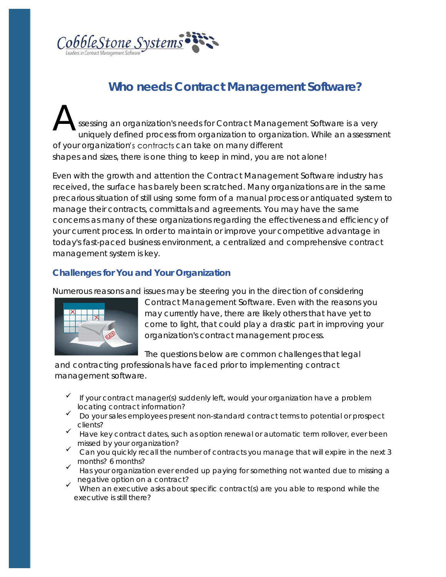

## **Who needs Contract Management Software?**

ssessing an organization's needs for Contract Management Software is a very uniquely defined process from organization to organization. While an assessment of your organization's contracts can take on many different shapes and sizes, there is one thing to keep in mind, you are not alone! A

Even with the growth and attention the Contract Management Software industry has received, the surface has barely been scratched. Many organizations are in the same precarious situation of still using some form of a manual process or antiquated system to manage their contracts, committals and agreements. You may have the same concerns as many of these organizations regarding the effectiveness and efficiency of your current process. In order to maintain or improve your competitive advantage in today's fast-paced business environment, a centralized and comprehensive contract management system is key.

## **Challenges for You and Your Organization**

Numerous reasons and issues may be steering you in the direction of considering



Contract Management Software. Even with the reasons you may currently have, there are likely others that have yet to come to light, that could play a drastic part in improving your organization's contract management process.

The questions below are common challenges that legal

and contracting professionals have faced prior to implementing contract management software.

- If your contract manager(s) suddenly left, would your organization have a problem locating contract information?
- Do your sales employees present non-standard contract terms to potential or prospect clients?
- $\checkmark$  Have key contract dates, such as option renewal or automatic term rollover, ever been missed by your organization?
- Can you quickly recall the number of contracts you manage that will expire in the next 3 months? 6 months?
- Has your organization ever ended up paying for something not wanted due to missing a negative option on a contract?
- When an executive asks about specific contract(s) are you able to respond while the executive is still there?